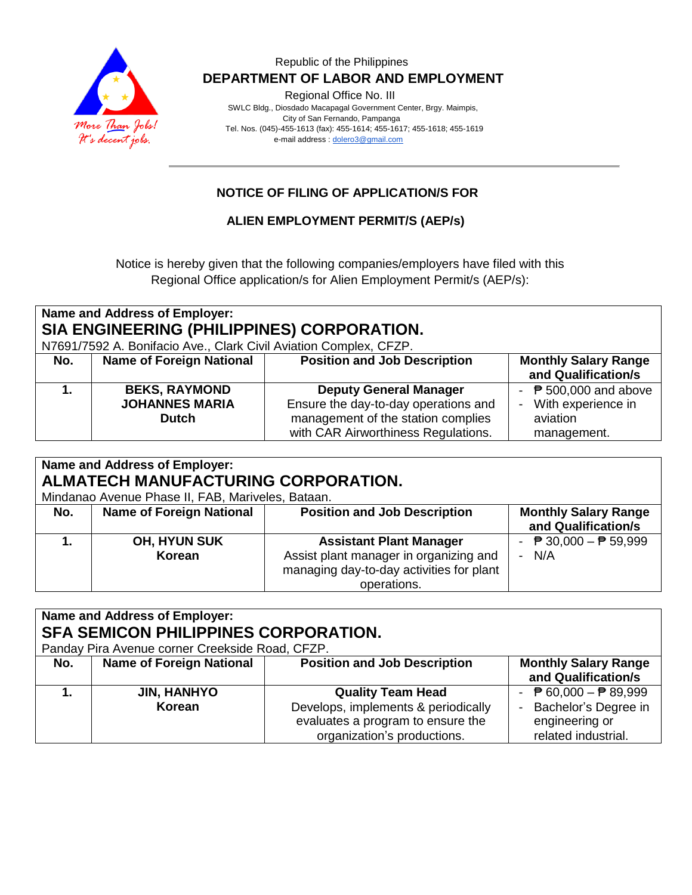

Regional Office No. III

 SWLC Bldg., Diosdado Macapagal Government Center, Brgy. Maimpis, City of San Fernando, Pampanga Tel. Nos. (045)-455-1613 (fax): 455-1614; 455-1617; 455-1618; 455-1619 e-mail address [: dolero3@gmail.com](mailto:dolero3@gmail.com)

# **NOTICE OF FILING OF APPLICATION/S FOR**

## **ALIEN EMPLOYMENT PERMIT/S (AEP/s)**

Notice is hereby given that the following companies/employers have filed with this Regional Office application/s for Alien Employment Permit/s (AEP/s):

| Name and Address of Employer:                                     |                                 |                                      |                                |
|-------------------------------------------------------------------|---------------------------------|--------------------------------------|--------------------------------|
| SIA ENGINEERING (PHILIPPINES) CORPORATION.                        |                                 |                                      |                                |
| N7691/7592 A. Bonifacio Ave., Clark Civil Aviation Complex, CFZP. |                                 |                                      |                                |
| No.                                                               | <b>Name of Foreign National</b> | <b>Position and Job Description</b>  | <b>Monthly Salary Range</b>    |
|                                                                   |                                 |                                      | and Qualification/s            |
|                                                                   | <b>BEKS, RAYMOND</b>            | <b>Deputy General Manager</b>        | - $\sqrt{P}$ 500,000 and above |
|                                                                   | <b>JOHANNES MARIA</b>           | Ensure the day-to-day operations and | - With experience in           |
|                                                                   | <b>Dutch</b>                    | management of the station complies   | aviation                       |
|                                                                   |                                 | with CAR Airworthiness Regulations.  | management.                    |

| <b>Name and Address of Employer:</b><br>ALMATECH MANUFACTURING CORPORATION.<br>Mindanao Avenue Phase II, FAB, Mariveles, Bataan. |                                 |                                                                                                                                     |                                                            |
|----------------------------------------------------------------------------------------------------------------------------------|---------------------------------|-------------------------------------------------------------------------------------------------------------------------------------|------------------------------------------------------------|
| No.                                                                                                                              | <b>Name of Foreign National</b> | <b>Position and Job Description</b>                                                                                                 | <b>Monthly Salary Range</b><br>and Qualification/s         |
|                                                                                                                                  | <b>OH, HYUN SUK</b><br>Korean   | <b>Assistant Plant Manager</b><br>Assist plant manager in organizing and<br>managing day-to-day activities for plant<br>operations. | - $\overline{P}$ 30,000 - $\overline{P}$ 59,999<br>$- N/A$ |

| <b>Name and Address of Employer:</b><br><b>SFA SEMICON PHILIPPINES CORPORATION.</b><br>Panday Pira Avenue corner Creekside Road, CFZP. |                                 |                                                                                                                                     |                                                                                                                  |
|----------------------------------------------------------------------------------------------------------------------------------------|---------------------------------|-------------------------------------------------------------------------------------------------------------------------------------|------------------------------------------------------------------------------------------------------------------|
| No.                                                                                                                                    | <b>Name of Foreign National</b> | <b>Position and Job Description</b>                                                                                                 | <b>Monthly Salary Range</b><br>and Qualification/s                                                               |
|                                                                                                                                        | <b>JIN, HANHYO</b><br>Korean    | <b>Quality Team Head</b><br>Develops, implements & periodically<br>evaluates a program to ensure the<br>organization's productions. | - $\overline{P}$ 60,000 - $\overline{P}$ 89,999<br>Bachelor's Degree in<br>engineering or<br>related industrial. |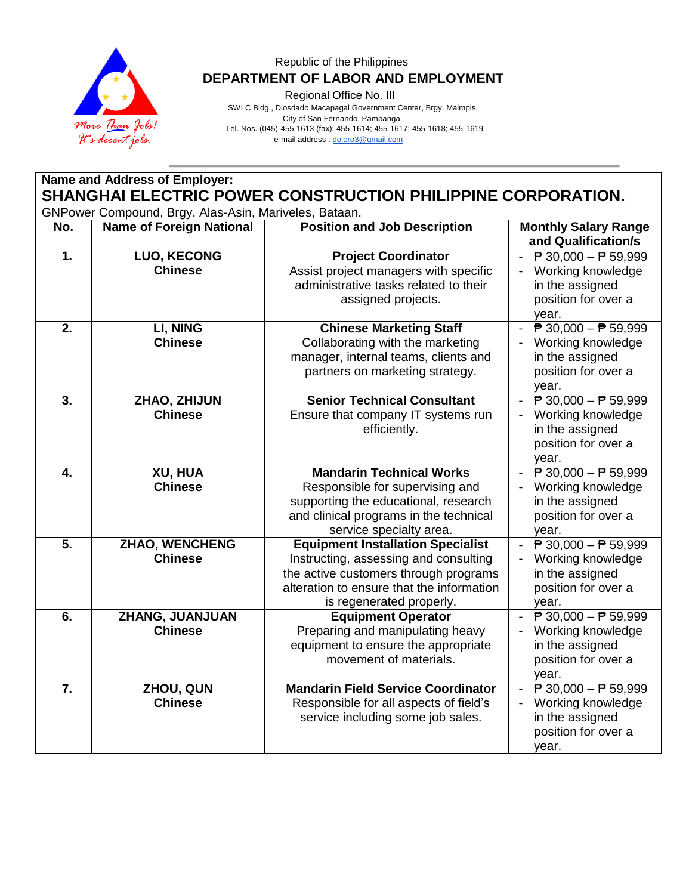

Regional Office No. III

 SWLC Bldg., Diosdado Macapagal Government Center, Brgy. Maimpis, City of San Fernando, Pampanga Tel. Nos. (045)-455-1613 (fax): 455-1614; 455-1617; 455-1618; 455-1619 e-mail address [: dolero3@gmail.com](mailto:dolero3@gmail.com)

**Name and Address of Employer: SHANGHAI ELECTRIC POWER CONSTRUCTION PHILIPPINE CORPORATION.** GNPower Compound, Brgy. Alas-Asin, Mariveles, Bataan. **No. Name of Foreign National Position and Job Description Monthly Salary Range and Qualification/s 1. LUO, KECONG Chinese Project Coordinator** Assist project managers with specific administrative tasks related to their assigned projects.  $\overline{P}$  30,000  $\overline{P}$  59,999 - Working knowledge in the assigned position for over a year. **2. LI, NING Chinese Chinese Marketing Staff** Collaborating with the marketing manager, internal teams, clients and partners on marketing strategy. -  $\sqrt{P}$  30,000 –  $\sqrt{P}$  59,999 - Working knowledge in the assigned position for over a year. **3. ZHAO, ZHIJUN Chinese Senior Technical Consultant** Ensure that company IT systems run efficiently. -  $\sqrt{P}$  30,000 –  $\sqrt{P}$  59,999 Working knowledge in the assigned position for over a year. **4. XU, HUA Chinese Mandarin Technical Works** Responsible for supervising and supporting the educational, research and clinical programs in the technical service specialty area.  $\overline{P}$  30,000  $\overline{P}$  59,999 Working knowledge in the assigned position for over a year. **5. ZHAO, WENCHENG Chinese Equipment Installation Specialist** Instructing, assessing and consulting the active customers through programs alteration to ensure that the information is regenerated properly.  $\overline{P}$  30,000  $\overline{P}$  59,999 Working knowledge in the assigned position for over a year. **6. ZHANG, JUANJUAN Chinese Equipment Operator** Preparing and manipulating heavy equipment to ensure the appropriate movement of materials.  $\overline{P}$  30,000 –  $\overline{P}$  59,999 - Working knowledge in the assigned position for over a year. **7. ZHOU, QUN Chinese Mandarin Field Service Coordinator** Responsible for all aspects of field's service including some job sales.  $\overline{P}$  30,000 –  $\overline{P}$  59,999 Working knowledge in the assigned position for over a year.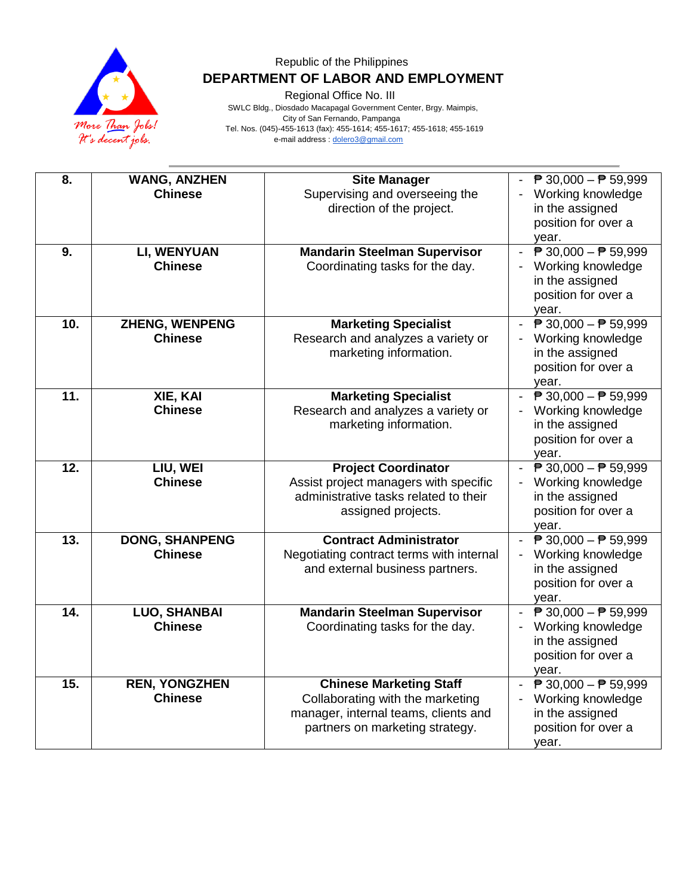

Regional Office No. III

 SWLC Bldg., Diosdado Macapagal Government Center, Brgy. Maimpis, City of San Fernando, Pampanga Tel. Nos. (045)-455-1613 (fax): 455-1614; 455-1617; 455-1618; 455-1619 e-mail address [: dolero3@gmail.com](mailto:dolero3@gmail.com)

| 8.  | <b>WANG, ANZHEN</b>                    | <b>Site Manager</b>                                                 | ₱ 30,000 - ₱ 59,999                                                |
|-----|----------------------------------------|---------------------------------------------------------------------|--------------------------------------------------------------------|
|     | <b>Chinese</b>                         | Supervising and overseeing the                                      | Working knowledge                                                  |
|     |                                        | direction of the project.                                           | in the assigned                                                    |
|     |                                        |                                                                     | position for over a                                                |
|     |                                        |                                                                     | year.                                                              |
| 9.  | LI, WENYUAN                            | <b>Mandarin Steelman Supervisor</b>                                 | $\overline{P}$ 30,000 - $\overline{P}$ 59,999                      |
|     | <b>Chinese</b>                         | Coordinating tasks for the day.                                     | Working knowledge<br>in the assigned                               |
|     |                                        |                                                                     | position for over a                                                |
|     |                                        |                                                                     | year.                                                              |
| 10. | ZHENG, WENPENG                         | <b>Marketing Specialist</b>                                         | $\overline{P}$ 30,000 - $\overline{P}$ 59,999                      |
|     | <b>Chinese</b>                         | Research and analyzes a variety or                                  | Working knowledge                                                  |
|     |                                        | marketing information.                                              | in the assigned                                                    |
|     |                                        |                                                                     | position for over a<br>year.                                       |
| 11. | XIE, KAI                               | <b>Marketing Specialist</b>                                         | $\overline{P}$ 30,000 - $\overline{P}$ 59,999<br>$\sim$            |
|     | <b>Chinese</b>                         | Research and analyzes a variety or                                  | Working knowledge                                                  |
|     |                                        | marketing information.                                              | in the assigned                                                    |
|     |                                        |                                                                     | position for over a                                                |
|     |                                        |                                                                     | year.                                                              |
| 12. | LIU, WEI<br><b>Chinese</b>             | <b>Project Coordinator</b><br>Assist project managers with specific | $\overline{P}$ 30,000 - $\overline{P}$ 59,999<br>Working knowledge |
|     |                                        | administrative tasks related to their                               | in the assigned                                                    |
|     |                                        | assigned projects.                                                  | position for over a                                                |
|     |                                        |                                                                     | year.                                                              |
| 13. | <b>DONG, SHANPENG</b>                  | <b>Contract Administrator</b>                                       | $\overline{P}$ 30,000 - $\overline{P}$ 59,999                      |
|     | <b>Chinese</b>                         | Negotiating contract terms with internal                            | Working knowledge                                                  |
|     |                                        | and external business partners.                                     | in the assigned<br>position for over a                             |
|     |                                        |                                                                     | year.                                                              |
| 14. | <b>LUO, SHANBAI</b>                    | <b>Mandarin Steelman Supervisor</b>                                 | ₱ 30,000 - ₱ 59,999                                                |
|     | <b>Chinese</b>                         | Coordinating tasks for the day.                                     | Working knowledge                                                  |
|     |                                        |                                                                     | in the assigned                                                    |
|     |                                        |                                                                     | position for over a                                                |
| 15. |                                        |                                                                     | year.<br>$\overline{P}$ 30,000 - $\overline{P}$ 59,999             |
|     | <b>REN, YONGZHEN</b><br><b>Chinese</b> | <b>Chinese Marketing Staff</b><br>Collaborating with the marketing  | $\sim$<br>Working knowledge                                        |
|     |                                        | manager, internal teams, clients and                                | in the assigned                                                    |
|     |                                        | partners on marketing strategy.                                     | position for over a                                                |
|     |                                        |                                                                     | year.                                                              |